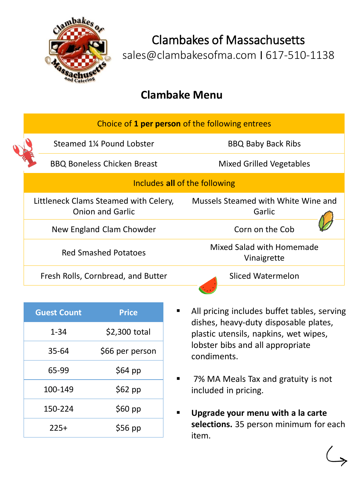

Clambakes of Massachusetts sales@clambakesofma.com I 617-510-1138

## **Clambake Menu**

|  | Choice of 1 per person of the following entrees                  |                                               |  |
|--|------------------------------------------------------------------|-----------------------------------------------|--|
|  | Steamed 1% Pound Lobster                                         | <b>BBQ Baby Back Ribs</b>                     |  |
|  | <b>BBQ Boneless Chicken Breast</b>                               | <b>Mixed Grilled Vegetables</b>               |  |
|  | Includes all of the following                                    |                                               |  |
|  | Littleneck Clams Steamed with Celery,<br><b>Onion and Garlic</b> | Mussels Steamed with White Wine and<br>Garlic |  |
|  | New England Clam Chowder                                         | Corn on the Cob                               |  |
|  | <b>Red Smashed Potatoes</b>                                      | Mixed Salad with Homemade<br>Vinaigrette      |  |
|  | Fresh Rolls, Cornbread, and Butter                               | Sliced Watermelon                             |  |

| <b>Guest Count</b> | <b>Price</b>    |
|--------------------|-----------------|
| $1 - 34$           | \$2,300 total   |
| 35-64              | \$66 per person |
| 65-99              | \$64 pp         |
| 100-149            | \$62 pp         |
| 150-224            | \$60 pp         |
| $225+$             | $$56$ pp        |

- All pricing includes buffet tables, serving dishes, heavy-duty disposable plates, plastic utensils, napkins, wet wipes, lobster bibs and all appropriate condiments.
	- 7% MA Meals Tax and gratuity is not included in pricing.
- **Upgrade your menu with a la carte selections.** 35 person minimum for each item.